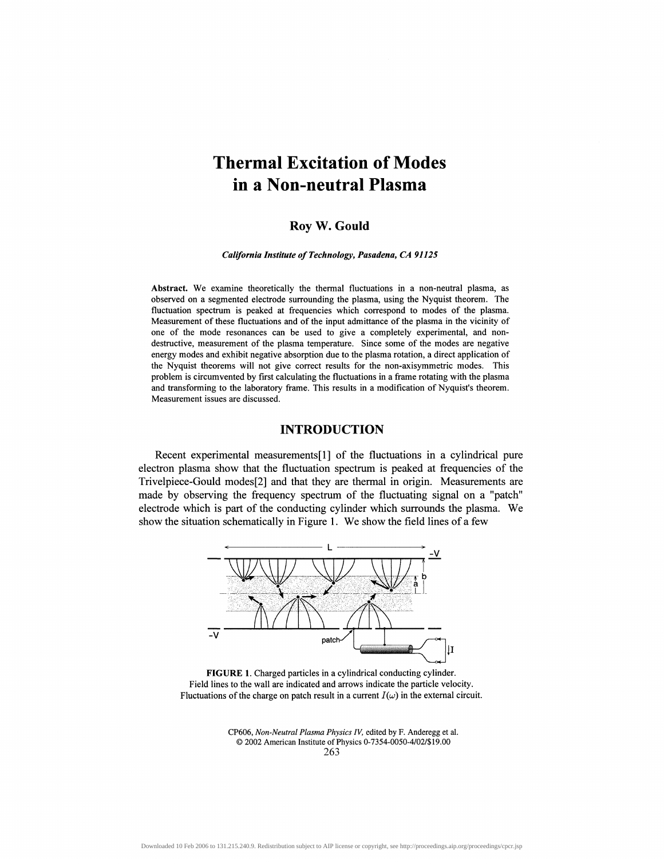# **Thermal Excitation of Modes in a Non-neutral Plasma**

## **Roy W. Gould**

*California Institute of Technology, Pasadena, CA 91125*

**Abstract.** We examine theoretically the thermal fluctuations in a non-neutral plasma, as observed on a segmented electrode surrounding the plasma, using the Nyquist theorem. The fluctuation spectrum is peaked at frequencies which correspond to modes of the plasma. Measurement of these fluctuations and of the input admittance of the plasma in the vicinity of one of the mode resonances can be used to give a completely experimental, and nondestructive, measurement of the plasma temperature. Since some of the modes are negative energy modes and exhibit negative absorption due to the plasma rotation, a direct application of the Nyquist theorems will not give correct results for the non-axisymmetric modes. This problem is circumvented by first calculating the fluctuations in a frame rotating with the plasma and transforming to the laboratory frame. This results in a modification of Nyquist's theorem. Measurement issues are discussed.

# **INTRODUCTION**

Recent experimental measurementsfl] of the fluctuations in a cylindrical pure electron plasma show that the fluctuation spectrum is peaked at frequencies of the Trivelpiece-Gould modes [2] and that they are thermal in origin. Measurements are made by observing the frequency spectrum of the fluctuating signal on a "patch" electrode which is part of the conducting cylinder which surrounds the plasma. We show the situation schematically in Figure 1. We show the field lines of a few



**FIGURE 1.** Charged particles in a cylindrical conducting cylinder. Field lines to the wall are indicated and arrows indicate the particle velocity. Fluctuations of the charge on patch result in a current  $I(\omega)$  in the external circuit.

CP606, *Non-Neutral Plasma Physics IV,* edited by F. Anderegg et al. © 2002 American Institute of Physics 0-7354-0050-4/027\$ 19.00 263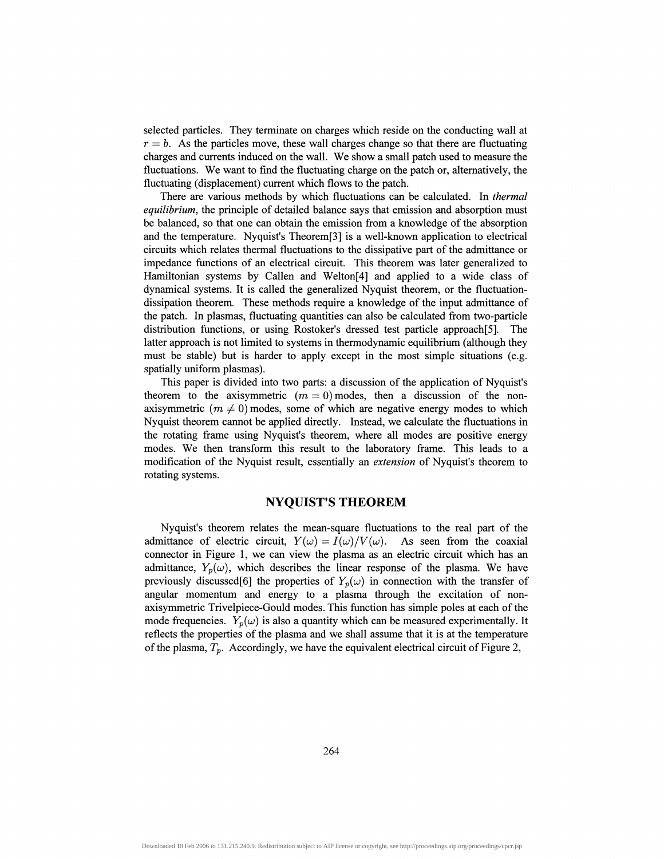selected particles. They terminate on charges which reside on the conducting wall at  $r = b$ . As the particles move, these wall charges change so that there are fluctuating charges and currents induced on the wall. We show a small patch used to measure the fluctuations. We want to find the fluctuating charge on the patch or, alternatively, the fluctuating (displacement) current which flows to the patch.

There are various methods by which fluctuations can be calculated. In *thermal equilibrium*, the principle of detailed balance says that emission and absorption must be balanced, so that one can obtain the emission from a knowledge of the absorption and the temperature. Nyquist's Theorem[3] is a well-known application to electrical circuits which relates thermal fluctuations to the dissipative part of the admittance or impedance functions of an electrical circuit. This theorem was later generalized to Hamiltonian systems by Callen and Welton[4] and applied to a wide class of dynamical systems. It is called the generalized Nyquist theorem, or the fluctuationdissipation theorem. These methods require a knowledge of the input admittance of the patch. In plasmas, fluctuating quantities can also be calculated from two-particle distribution functions, or using Rostoker's dressed test particle approach[5]. The latter approach is not limited to systems in thermodynamic equilibrium (although they must be stable) but is harder to apply except in the most simple situations (e.g. spatially uniform plasmas).

This paper is divided into two parts: a discussion of the application of Nyquist's theorem to the axisymmetric  $(m = 0)$  modes, then a discussion of the nonaxisymmetric  $(m \neq 0)$  modes, some of which are negative energy modes to which Nyquist theorem cannot be applied directly. Instead, we calculate the fluctuations in the rotating frame using Nyquist's theorem, where all modes are positive energy modes. We then transform this result to the laboratory frame. This leads to a modification of the Nyquist result, essentially an *extension* of Nyquist's theorem to rotating systems.

## **NYQUIST'S THEOREM**

Nyquist's theorem relates the mean-square fluctuations to the real part of the admittance of electric circuit,  $Y(\omega) = I(\omega)/V(\omega)$ . As seen from the coaxial connector in Figure 1, we can view the plasma as an electric circuit which has an admittance,  $Y_p(\omega)$ , which describes the linear response of the plasma. We have previously discussed [6] the properties of  $Y_p(\omega)$  in connection with the transfer of angular momentum and energy to a plasma through the excitation of nonaxisymmetric Trivelpiece-Gould modes. This function has simple poles at each of the mode frequencies.  $Y_p(\omega)$  is also a quantity which can be measured experimentally. It reflects the properties of the plasma and we shall assume that it is at the temperature of the plasma, *T<sup>p</sup> .* Accordingly, we have the equivalent electrical circuit of Figure 2,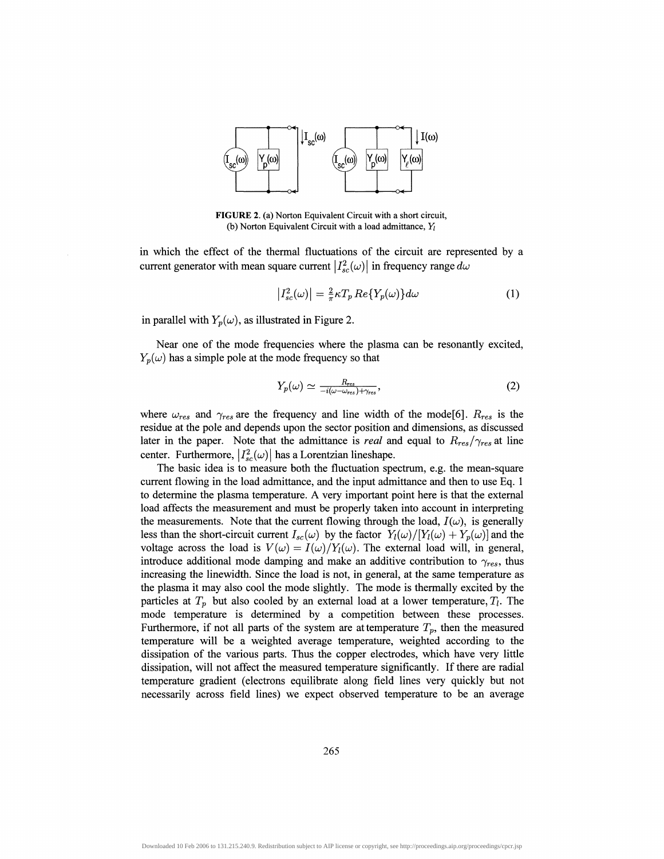

**FIGURE** 2. (a) Norton Equivalent Circuit with a short circuit, (b) Norton Equivalent Circuit with a load admittance, *YI*

in which the effect of the thermal fluctuations of the circuit are represented by a current generator with mean square current  $|I_{sc}^{2}(\omega)|$  in frequency range  $d\omega$ 

$$
|I_{sc}^{2}(\omega)| = \frac{2}{\pi} \kappa T_{p} Re\{Y_{p}(\omega)\} d\omega
$$
 (1)

in parallel with  $Y_p(\omega)$ , as illustrated in Figure 2.

Near one of the mode frequencies where the plasma can be resonantly excited,  $Y_p(\omega)$  has a simple pole at the mode frequency so that

$$
Y_p(\omega) \simeq \frac{R_{res}}{-i(\omega - \omega_{res}) + \gamma_{res}},\tag{2}
$$

where  $\omega_{res}$  and  $\gamma_{res}$  are the frequency and line width of the mode[6].  $R_{res}$  is the residue at the pole and depends upon the sector position and dimensions, as discussed later in the paper. Note that the admittance is *real* and equal to  $R_{res}/\gamma_{res}$  at line center. Furthermore,  $|I_{sc}^{2}(\omega)|$  has a Lorentzian lineshape.

The basic idea is to measure both the fluctuation spectrum, e.g. the mean-square current flowing in the load admittance, and the input admittance and then to use Eq. 1 to determine the plasma temperature. A very important point here is that the external load affects the measurement and must be properly taken into account in interpreting the measurements. Note that the current flowing through the load,  $I(\omega)$ , is generally less than the short-circuit current  $I_{sc}(\omega)$  by the factor  $Y_i(\omega)/[Y_i(\omega) + Y_n(\omega)]$  and the voltage across the load is  $V(\omega) = I(\omega)/Y_i(\omega)$ . The external load will, in general, introduce additional mode damping and make an additive contribution to  $\gamma_{res}$ , thus increasing the linewidth. Since the load is not, in general, at the same temperature as the plasma it may also cool the mode slightly. The mode is thermally excited by the particles at  $T_p$  but also cooled by an external load at a lower temperature,  $T_l$ . The mode temperature is determined by a competition between these processes. Furthermore, if not all parts of the system are at temperature  $T_p$ , then the measured temperature will be a weighted average temperature, weighted according to the dissipation of the various parts. Thus the copper electrodes, which have very little dissipation, will not affect the measured temperature significantly. If there are radial temperature gradient (electrons equilibrate along field lines very quickly but not necessarily across field lines) we expect observed temperature to be an average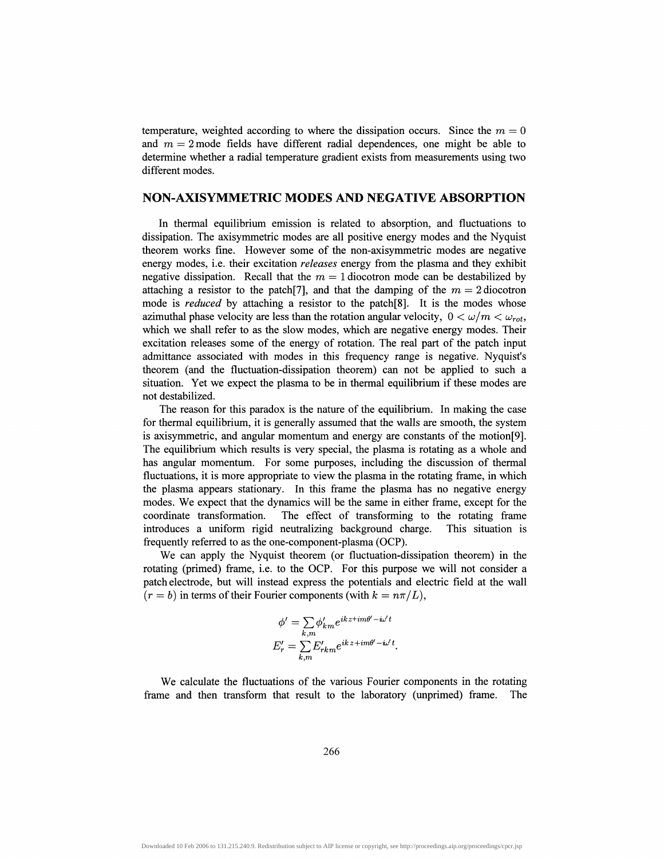temperature, weighted according to where the dissipation occurs. Since the  $m = 0$ and  $m = 2$  mode fields have different radial dependences, one might be able to determine whether a radial temperature gradient exists from measurements using two different modes.

## **NON-AXISYMMETRIC MODES AND NEGATIVE ABSORPTION**

In thermal equilibrium emission is related to absorption, and fluctuations to dissipation. The axisymmetric modes are all positive energy modes and the Nyquist theorem works fine. However some of the non-axisymmetric modes are negative energy modes, i.e. their excitation *releases* energy from the plasma and they exhibit negative dissipation. Recall that the  $m = 1$  diocotron mode can be destabilized by attaching a resistor to the patch<sup>[7]</sup>, and that the damping of the  $m = 2$  diocotron mode is *reduced* by attaching a resistor to the patch[8]. It is the modes whose azimuthal phase velocity are less than the rotation angular velocity,  $0 < \omega/m < \omega_{rot}$ , which we shall refer to as the slow modes, which are negative energy modes. Their excitation releases some of the energy of rotation. The real part of the patch input admittance associated with modes in this frequency range is negative. Nyquist's theorem (and the fluctuation-dissipation theorem) can not be applied to such a situation. Yet we expect the plasma to be in thermal equilibrium if these modes are not destabilized.

The reason for this paradox is the nature of the equilibrium. In making the case for thermal equilibrium, it is generally assumed that the walls are smooth, the system is axisymmetric, and angular momentum and energy are constants of the motion[9]. The equilibrium which results is very special, the plasma is rotating as a whole and has angular momentum. For some purposes, including the discussion of thermal fluctuations, it is more appropriate to view the plasma in the rotating frame, in which the plasma appears stationary. In this frame the plasma has no negative energy modes. We expect that the dynamics will be the same in either frame, except for the coordinate transformation. The effect of transforming to the rotating frame introduces a uniform rigid neutralizing background charge. This situation is frequently referred to as the one-component-plasma (OCP).

We can apply the Nyquist theorem (or fluctuation-dissipation theorem) in the rotating (primed) frame, i.e. to the OCP. For this purpose we will not consider a patch electrode, but will instead express the potentials and electric field at the wall  $(r = b)$  in terms of their Fourier components (with  $k = n\pi/L$ ),

$$
\phi' = \sum_{k,m} \phi'_{km} e^{ikz+im\theta'-i\omega't}
$$

$$
E'_r = \sum_{k,m} E'_{rk m} e^{ikz+im\theta'-i\omega't}.
$$

We calculate the fluctuations of the various Fourier components in the rotating frame and then transform that result to the laboratory (unprimed) frame. The

266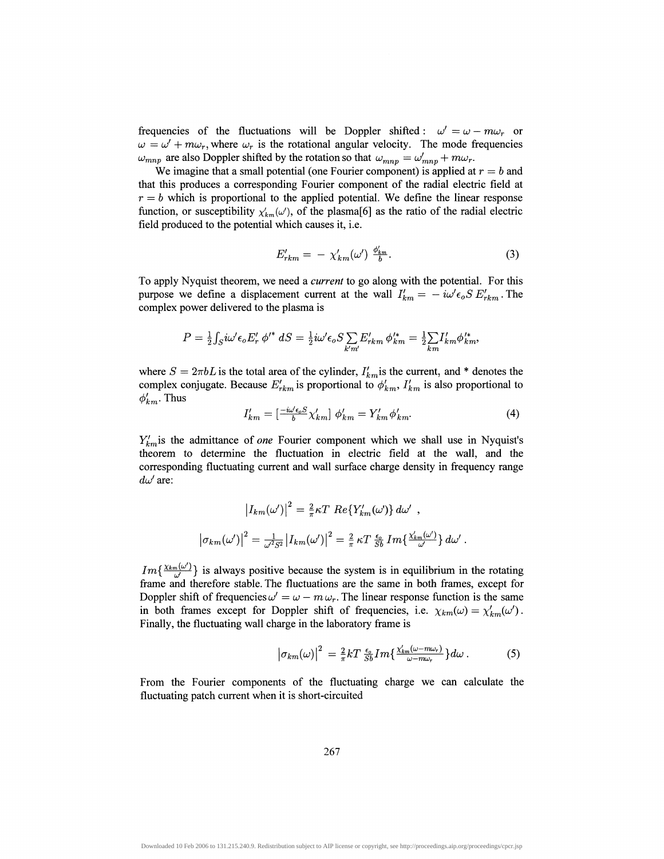frequencies of the fluctuations will be Doppler shifted :  $\omega' = \omega - m\omega_r$  or  $\omega = \omega' + m\omega_r$ , where  $\omega_r$  is the rotational angular velocity. The mode frequencies  $\omega_{mnp}$  are also Doppler shifted by the rotation so that  $\omega_{mnp} = \omega'_{mnp} + m\omega_r$ .

We imagine that a small potential (one Fourier component) is applied at  $r = b$  and that this produces a corresponding Fourier component of the radial electric field at  $r = b$  which is proportional to the applied potential. We define the linear response function, or susceptibility  $\chi'_{km}(\omega')$ , of the plasma[6] as the ratio of the radial electric field produced to the potential which causes it, i.e.

$$
E'_{rkm} = -\chi'_{km}(\omega')\ \frac{\phi'_{km}}{b}.
$$

To apply Nyquist theorem, we need a *current* to go along with the potential. For this purpose we define a displacement current at the wall  $I'_{km} = -i\omega' \epsilon_0 S E'_{rkm}$ . The complex power delivered to the plasma is

$$
P = \frac{1}{2} \int_S i\omega' \epsilon_o E'_r \, \phi'^* \, dS = \frac{1}{2} i\omega' \epsilon_o S \sum_{k'm'} E'_{rkm} \, \phi'^*_{km} = \frac{1}{2} \sum_{km} I'_{km} \phi'^*_{km},
$$

where  $S = 2\pi bL$  is the total area of the cylinder,  $I'_{km}$  is the current, and \* denotes the complex conjugate. Because  $E'_{rkm}$  is proportional to  $\phi'_{km}$ ,  $I'_{km}$  is also proportional to  $\phi'_{km}$ . Thus

$$
I'_{km} = \left[\frac{-i\omega'\epsilon_o S}{b} \chi'_{km}\right] \phi'_{km} = Y'_{km} \phi'_{km}.
$$

*Ykmis* the admittance of *one* Fourier component which we shall use in Nyquist's theorem to determine the fluctuation in electric field at the wall, and the corresponding fluctuating current and wall surface charge density in frequency range  $d\omega'$  are:

$$
\left|I_{km}(\omega')\right|^2 = \frac{2}{\pi} \kappa T \ Re\{Y'_{km}(\omega)\} d\omega' ,
$$
  

$$
\left|\sigma_{km}(\omega')\right|^2 = \frac{1}{\omega^2 S^2} \left|I_{km}(\omega')\right|^2 = \frac{2}{\pi} \kappa T \frac{\epsilon_o}{Sb} Im\{\frac{\chi'_{km}(\omega')}{\omega'}\} d\omega' .
$$

 $Im\{\frac{\chi_{km}(\omega')}{\omega'}\}$  is always positive because the system is in equilibrium in the rotating frame and therefore stable. The fluctuations are the same in both frames, except for Doppler shift of frequencies  $\omega' = \omega - m \omega_r$ . The linear response function is the same in both frames except for Doppler shift of frequencies, i.e.  $\chi_{km}(\omega) = \chi'_{km}(\omega')$ . Finally, the fluctuating wall charge in the laboratory frame is

$$
\left|\sigma_{km}(\omega)\right|^2 = \frac{2}{\pi}kT\frac{\epsilon_o}{Sb}Im\{\frac{\chi'_{km}(\omega-m\omega_r)}{\omega-m\omega_r}\}d\omega.
$$
 (5)

From the Fourier components of the fluctuating charge we can calculate the fluctuating patch current when it is short-circuited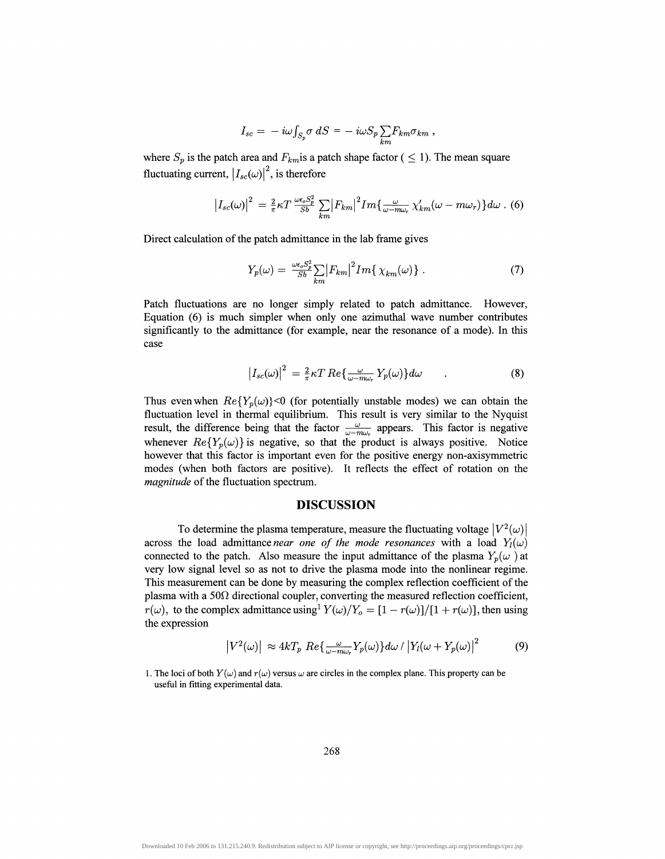$$
I_{sc} = -i\omega \int_{S_p} \sigma \, dS = -i\omega S_p \sum_{km} F_{km} \sigma_{km} ,
$$

where  $S_p$  is the patch area and  $F_{km}$  is a patch shape factor (  $\leq$  1). The mean square fluctuating current,  $|I_{sc}(\omega)|^2$ , is therefore

$$
\left|I_{sc}(\omega)\right|^2 = \frac{2}{\pi} \kappa T \frac{\omega \epsilon_o S_p^2}{S b} \sum_{km} \left|F_{km}\right|^2 I m \left\{\frac{\omega}{\omega - m\omega_r} \chi'_{km}(\omega - m\omega_r)\right\} d\omega \ . \tag{6}
$$

Direct calculation of the patch admittance in the lab frame gives

$$
Y_p(\omega) = \frac{\omega \epsilon_o S_p^2}{Sb} \sum_{km} \left| F_{km} \right|^2 Im\left\{ \chi_{km}(\omega) \right\} \,. \tag{7}
$$

Patch fluctuations are no longer simply related to patch admittance. However, Equation (6) is much simpler when only one azimuthal wave number contributes significantly to the admittance (for example, near the resonance of a mode). In this case

$$
\left|I_{sc}(\omega)\right|^2 = \frac{2}{\pi} \kappa T \, Re \left\{ \frac{\omega}{\omega - m\omega_r} \, Y_p(\omega) \right\} d\omega \tag{8}
$$

Thus even when  $Re\{Y_p(\omega)\}<0$  (for potentially unstable modes) we can obtain the fluctuation level in thermal equilibrium. This result is very similar to the Nyquist result, the difference being that the factor  $\frac{\omega}{\omega - m\omega_r}$  appears. This factor is negative whenever  $Re{Y_p(\omega)}$  is negative, so that the product is always positive. Notice however that this factor is important even for the positive energy non-axisymmetric modes (when both factors are positive). It reflects the effect of rotation on the *magnitude* of the fluctuation spectrum.

#### **DISCUSSION**

To determine the plasma temperature, measure the fluctuating voltage  $|V^2(\omega)|$ across the load admittance *near one of the mode resonances* with a load  $Y_l(\omega)$ connected to the patch. Also measure the input admittance of the plasma  $Y_p(\omega)$  at very low signal level so as not to drive the plasma mode into the nonlinear regime. This measurement can be done by measuring the complex reflection coefficient of the plasma with a 50 $\Omega$  directional coupler, converting the measured reflection coefficient,  $r(\omega)$ , to the complex admittance using<sup>1</sup>  $Y(\omega)/Y_o = [1 - r(\omega)]/[1 + r(\omega)]$ , then using the expression

$$
\left|V^2(\omega)\right| \approx 4kT_p \ Re\{\frac{\omega}{\omega - m\omega_r} Y_p(\omega)\} d\omega / \left|Y_l(\omega + Y_p(\omega)\right|^2 \tag{9}
$$

1. The loci of both  $Y(\omega)$  and  $r(\omega)$  versus  $\omega$  are circles in the complex plane. This property can be useful in fitting experimental data.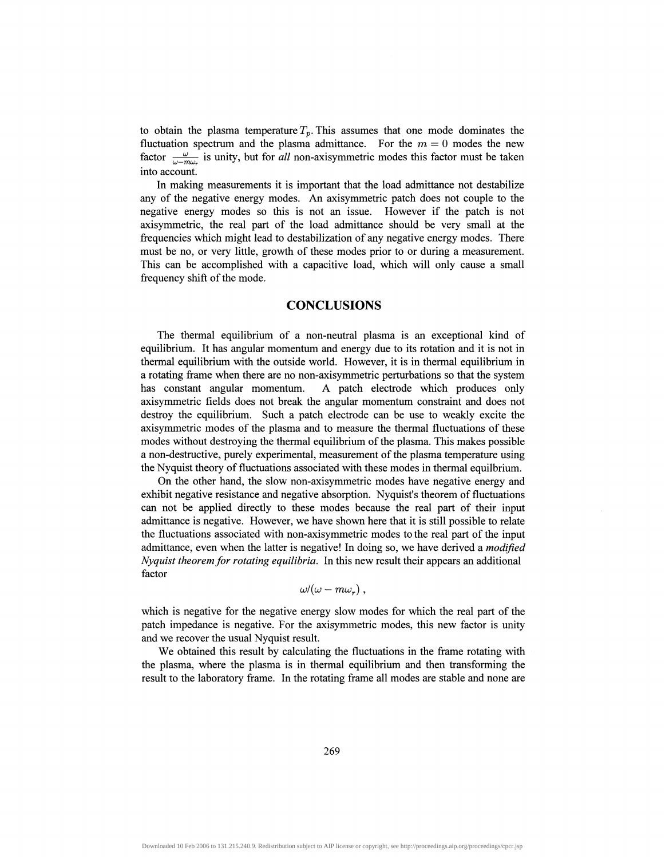to obtain the plasma temperature  $T_p$ . This assumes that one mode dominates the fluctuation spectrum and the plasma admittance. For the  $m = 0$  modes the new factor  $\frac{\omega}{\omega - m\omega}$  is unity, but for *all* non-axisymmetric modes this factor must be taken into account.

In making measurements it is important that the load admittance not destabilize any of the negative energy modes. An axisymmetric patch does not couple to the negative energy modes so this is not an issue. However if the patch is not axisymmetric, the real part of the load admittance should be very small at the frequencies which might lead to destabilization of any negative energy modes. There must be no, or very little, growth of these modes prior to or during a measurement. This can be accomplished with a capacitive load, which will only cause a small frequency shift of the mode.

# **CONCLUSIONS**

The thermal equilibrium of a non-neutral plasma is an exceptional kind of equilibrium. It has angular momentum and energy due to its rotation and it is not in thermal equilibrium with the outside world. However, it is in thermal equilibrium in a rotating frame when there are no non-axisymmetric perturbations so that the system has constant angular momentum. A patch electrode which produces only axisymmetric fields does not break the angular momentum constraint and does not destroy the equilibrium. Such a patch electrode can be use to weakly excite the axisymmetric modes of the plasma and to measure the thermal fluctuations of these modes without destroying the thermal equilibrium of the plasma. This makes possible a non-destructive, purely experimental, measurement of the plasma temperature using the Nyquist theory of fluctuations associated with these modes in thermal equilbrium.

On the other hand, the slow non-axisymmetric modes have negative energy and exhibit negative resistance and negative absorption. Nyquist's theorem of fluctuations can not be applied directly to these modes because the real part of their input admittance is negative. However, we have shown here that it is still possible to relate the fluctuations associated with non-axisymmetric modes to the real part of the input admittance, even when the latter is negative! In doing so, we have derived a *modified Nyquist theorem for rotating equilibria.* In this new result their appears an additional factor

$$
\omega/(\omega-m\omega_r)\ ,
$$

which is negative for the negative energy slow modes for which the real part of the patch impedance is negative. For the axisymmetric modes, this new factor is unity and we recover the usual Nyquist result.

We obtained this result by calculating the fluctuations in the frame rotating with the plasma, where the plasma is in thermal equilibrium and then transforming the result to the laboratory frame. In the rotating frame all modes are stable and none are